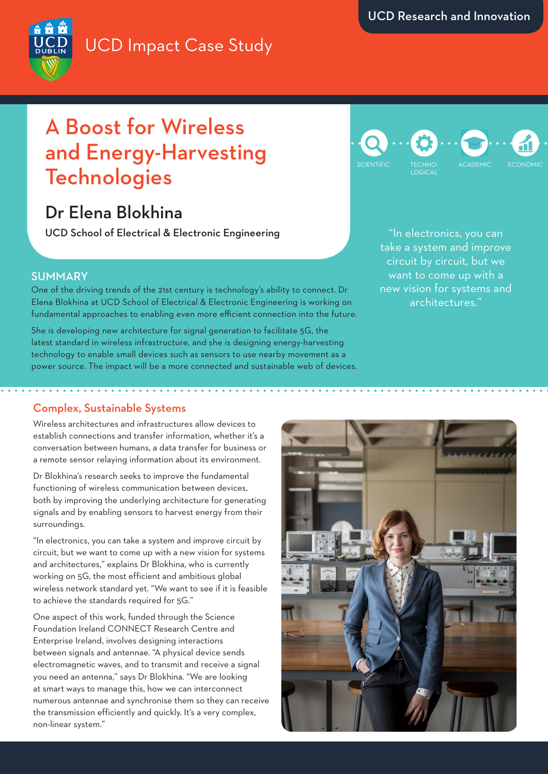

# A Boost for Wireless and Energy-Harvesting **Technologies**

# Dr Elena Blokhina

UCD School of Electrical & Electronic Engineering

TECHNO-LOGICAL SCIENTIFIC TECHNOL ACADEMIC

> "In electronics, you can take a system and improve circuit by circuit, but we want to come up with a new vision for systems and architectures."

### **SUMMARY**

One of the driving trends of the 21st century is technology's ability to connect. Dr Elena Blokhina at UCD School of Electrical & Electronic Engineering is working on fundamental approaches to enabling even more efficient connection into the future.

She is developing new architecture for signal generation to facilitate 5G, the latest standard in wireless infrastructure, and she is designing energy-harvesting technology to enable small devices such as sensors to use nearby movement as a power source. The impact will be a more connected and sustainable web of devices.

## Complex, Sustainable Systems

Wireless architectures and infrastructures allow devices to establish connections and transfer information, whether it's a conversation between humans, a data transfer for business or a remote sensor relaying information about its environment.

Dr Blokhina's research seeks to improve the fundamental functioning of wireless communication between devices, both by improving the underlying architecture for generating signals and by enabling sensors to harvest energy from their surroundings.

"In electronics, you can take a system and improve circuit by circuit, but we want to come up with a new vision for systems and architectures," explains Dr Blokhina, who is currently working on 5G, the most efficient and ambitious global wireless network standard yet. "We want to see if it is feasible to achieve the standards required for 5G."

One aspect of this work, funded through the Science Foundation Ireland CONNECT Research Centre and Enterprise Ireland, involves designing interactions between signals and antennae. "A physical device sends electromagnetic waves, and to transmit and receive a signal you need an antenna," says Dr Blokhina. "We are looking at smart ways to manage this, how we can interconnect numerous antennae and synchronise them so they can receive the transmission efficiently and quickly. It's a very complex, non-linear system."